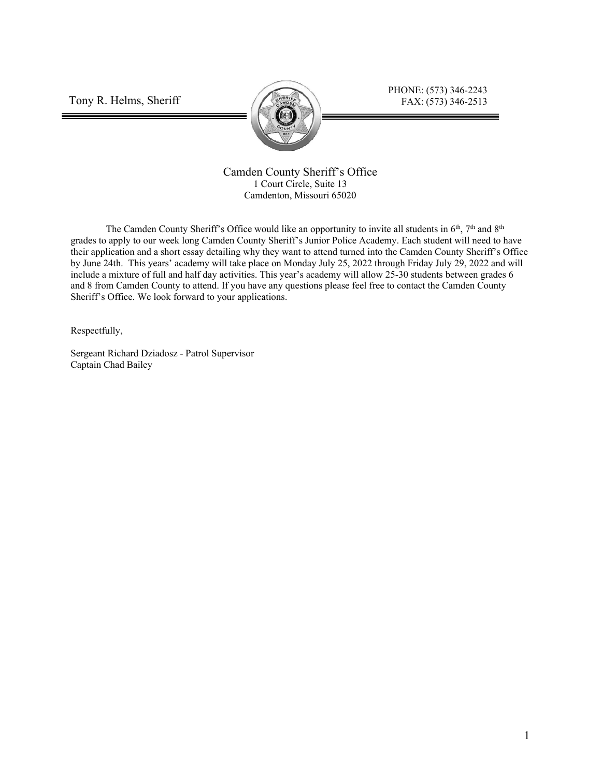Tony R. Helms, Sheriff



PHONE: (573) 346-2243 FAX: (573) 346-2513

Camden County Sheriff's Office 1 Court Circle, Suite 13 Camdenton, Missouri 65020

The Camden County Sheriff's Office would like an opportunity to invite all students in  $6<sup>th</sup>$ , 7<sup>th</sup> and  $8<sup>th</sup>$ grades to apply to our week long Camden County Sheriff's Junior Police Academy. Each student will need to have their application and a short essay detailing why they want to attend turned into the Camden County Sheriff's Office by June 24th. This years' academy will take place on Monday July 25, 2022 through Friday July 29, 2022 and will include a mixture of full and half day activities. This year's academy will allow 25-30 students between grades 6 and 8 from Camden County to attend. If you have any questions please feel free to contact the Camden County Sheriff's Office. We look forward to your applications.

Respectfully,

Sergeant Richard Dziadosz - Patrol Supervisor Captain Chad Bailey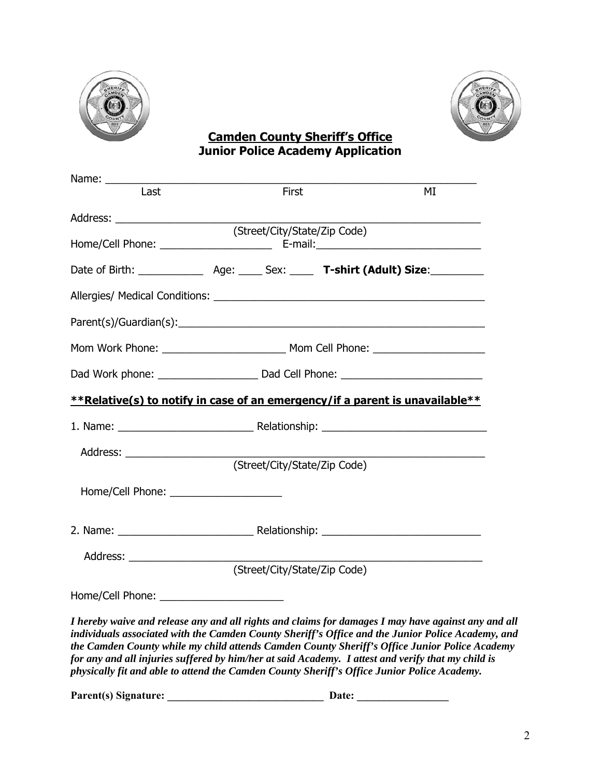



### **Camden County Sheriff's Office Junior Police Academy Application**

| Last                                                                                                                                                                                                                                                                                                                                                                                                            |  | First |                              | MI |
|-----------------------------------------------------------------------------------------------------------------------------------------------------------------------------------------------------------------------------------------------------------------------------------------------------------------------------------------------------------------------------------------------------------------|--|-------|------------------------------|----|
|                                                                                                                                                                                                                                                                                                                                                                                                                 |  |       |                              |    |
|                                                                                                                                                                                                                                                                                                                                                                                                                 |  |       | (Street/City/State/Zip Code) |    |
|                                                                                                                                                                                                                                                                                                                                                                                                                 |  |       |                              |    |
|                                                                                                                                                                                                                                                                                                                                                                                                                 |  |       |                              |    |
|                                                                                                                                                                                                                                                                                                                                                                                                                 |  |       |                              |    |
|                                                                                                                                                                                                                                                                                                                                                                                                                 |  |       |                              |    |
|                                                                                                                                                                                                                                                                                                                                                                                                                 |  |       |                              |    |
| **Relative(s) to notify in case of an emergency/if a parent is unavailable**                                                                                                                                                                                                                                                                                                                                    |  |       |                              |    |
|                                                                                                                                                                                                                                                                                                                                                                                                                 |  |       |                              |    |
|                                                                                                                                                                                                                                                                                                                                                                                                                 |  |       |                              |    |
|                                                                                                                                                                                                                                                                                                                                                                                                                 |  |       | (Street/City/State/Zip Code) |    |
| Home/Cell Phone: 2008 2010 2020 2021                                                                                                                                                                                                                                                                                                                                                                            |  |       |                              |    |
|                                                                                                                                                                                                                                                                                                                                                                                                                 |  |       |                              |    |
|                                                                                                                                                                                                                                                                                                                                                                                                                 |  |       |                              |    |
|                                                                                                                                                                                                                                                                                                                                                                                                                 |  |       | (Street/City/State/Zip Code) |    |
|                                                                                                                                                                                                                                                                                                                                                                                                                 |  |       |                              |    |
| I hereby waive and release any and all rights and claims for damages I may have against any and all<br>individuals associated with the Camden County Sheriff's Office and the Junior Police Academy, and<br>the Camden County while my child attends Camden County Sheriff's Office Junior Police Academy<br>for any and all injuries suffered by him/her at said Academy. I attest and verify that my child is |  |       |                              |    |

**Parent(s) Signature: \_\_\_\_\_\_\_\_\_\_\_\_\_\_\_\_\_\_\_\_\_\_\_\_\_\_\_\_\_ Date: \_\_\_\_\_\_\_\_\_\_\_\_\_\_\_\_\_** 

*physically fit and able to attend the Camden County Sheriff's Office Junior Police Academy.*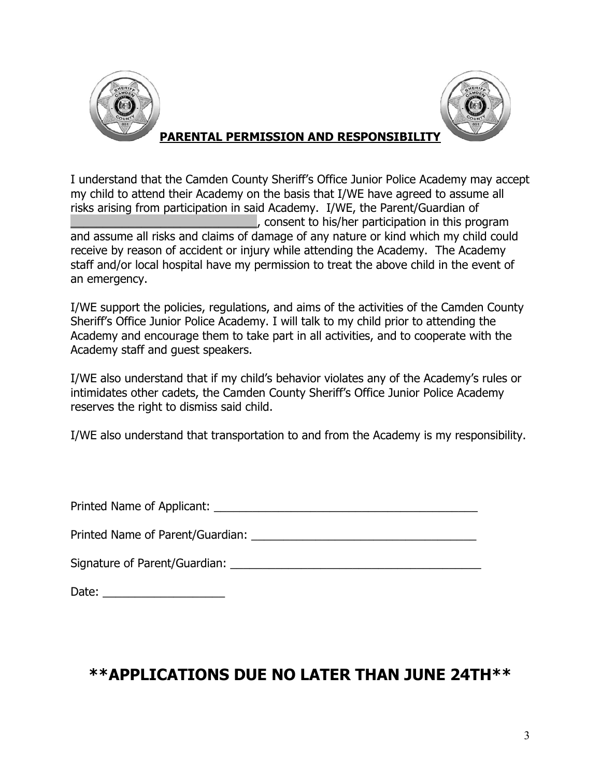



### **PARENTAL PERMISSION AND RESPONSIBILITY**

I understand that the Camden County Sheriff's Office Junior Police Academy may accept my child to attend their Academy on the basis that I/WE have agreed to assume all risks arising from participation in said Academy. I/WE, the Parent/Guardian of  $\Box$ , consent to his/her participation in this program and assume all risks and claims of damage of any nature or kind which my child could receive by reason of accident or injury while attending the Academy. The Academy staff and/or local hospital have my permission to treat the above child in the event of an emergency.

I/WE support the policies, regulations, and aims of the activities of the Camden County Sheriff's Office Junior Police Academy. I will talk to my child prior to attending the Academy and encourage them to take part in all activities, and to cooperate with the Academy staff and guest speakers.

I/WE also understand that if my child's behavior violates any of the Academy's rules or intimidates other cadets, the Camden County Sheriff's Office Junior Police Academy reserves the right to dismiss said child.

I/WE also understand that transportation to and from the Academy is my responsibility.

| Printed Name of Applicant:       |  |
|----------------------------------|--|
| Printed Name of Parent/Guardian: |  |

Signature of Parent/Guardian: **Example 2018** 

Date:  $\Box$ 

## **\*\*APPLICATIONS DUE NO LATER THAN JUNE 24TH\*\***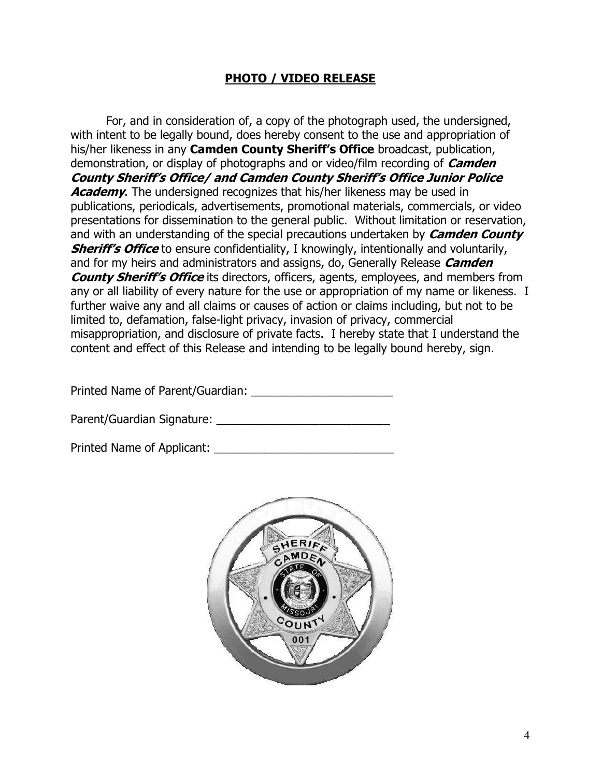#### **PHOTO / VIDEO RELEASE**

 For, and in consideration of, a copy of the photograph used, the undersigned, with intent to be legally bound, does hereby consent to the use and appropriation of his/her likeness in any **Camden County Sheriff's Office** broadcast, publication, demonstration, or display of photographs and or video/film recording of **Camden County Sheriff's Office/ and Camden County Sheriff's Office Junior Police Academy.** The undersigned recognizes that his/her likeness may be used in publications, periodicals, advertisements, promotional materials, commercials, or video presentations for dissemination to the general public. Without limitation or reservation, and with an understanding of the special precautions undertaken by **Camden County Sheriff's Office** to ensure confidentiality, I knowingly, intentionally and voluntarily, and for my heirs and administrators and assigns, do, Generally Release **Camden County Sheriff's Office** its directors, officers, agents, employees, and members from any or all liability of every nature for the use or appropriation of my name or likeness. I further waive any and all claims or causes of action or claims including, but not to be limited to, defamation, false-light privacy, invasion of privacy, commercial misappropriation, and disclosure of private facts. I hereby state that I understand the content and effect of this Release and intending to be legally bound hereby, sign.

Printed Name of Parent/Guardian:

Parent/Guardian Signature: \_\_\_\_\_\_\_\_\_\_\_\_\_\_\_\_\_\_\_\_\_\_\_\_\_\_\_

Printed Name of Applicant: \_\_\_\_\_\_\_\_\_\_\_\_\_\_\_\_\_\_\_\_\_\_\_\_\_\_\_\_